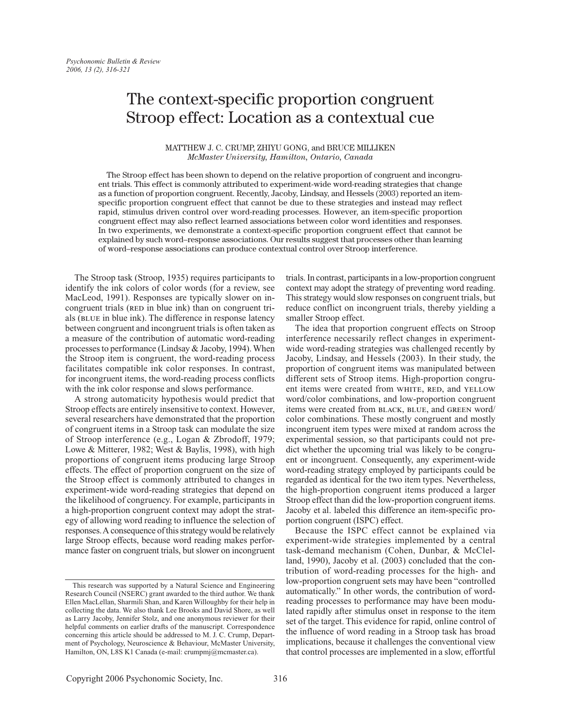# The context-specific proportion congruent Stroop effect: Location as a contextual cue

# MATTHEW J. C. CRUMP, ZHIYU GONG, and BRUCE MILLIKEN McMaster University, Hamilton, Ontario, Canada

The Stroop effect has been shown to depend on the relative proportion of congruent and incongruent trials. This effect is commonly attributed to experiment-wide word-reading strategies that change as a function of proportion congruent. Recently, Jacoby, Lindsay, and Hessels (2003) reported an itemspecific proportion congruent effect that cannot be due to these strategies and instead may reflect rapid, stimulus driven control over word-reading processes. However, an item-specific proportion congruent effect may also reflect learned associations between color word identities and responses. In two experiments, we demonstrate a context-specific proportion congruent effect that cannot be explained by such word-response associations. Our results suggest that processes other than learning of word-response associations can produce contextual control over Stroop interference.

The Stroop task (Stroop, 1935) requires participants to identify the ink colors of color words (for a review, see MacLeod, 1991). Responses are typically slower on incongruent trials (RED in blue ink) than on congruent trials (BLUE in blue ink). The difference in response latency between congruent and incongruent trials is often taken as a measure of the contribution of automatic word-reading processes to performance (Lindsay & Jacoby, 1994). When the Stroop item is congruent, the word-reading process facilitates compatible ink color responses. In contrast, for incongruent items, the word-reading process conflicts with the ink color response and slows performance.

A strong automaticity hypothesis would predict that Stroop effects are entirely insensitive to context. However, several researchers have demonstrated that the proportion of congruent items in a Stroop task can modulate the size of Stroop interference (e.g., Logan & Zbrodoff, 1979; Lowe & Mitterer, 1982; West & Baylis, 1998), with high proportions of congruent items producing large Stroop effects. The effect of proportion congruent on the size of the Stroop effect is commonly attributed to changes in experiment-wide word-reading strategies that depend on the likelihood of congruency. For example, participants in a high-proportion congruent context may adopt the strategy of allowing word reading to influence the selection of responses. A consequence of this strategy would be relatively large Stroop effects, because word reading makes performance faster on congruent trials, but slower on incongruent

trials. In contrast, participants in a low-proportion congruent context may adopt the strategy of preventing word reading. This strategy would slow responses on congruent trials, but reduce conflict on incongruent trials, thereby yielding a smaller Stroop effect.

The idea that proportion congruent effects on Stroop interference necessarily reflect changes in experimentwide word-reading strategies was challenged recently by Jacoby, Lindsay, and Hessels (2003). In their study, the proportion of congruent items was manipulated between different sets of Stroop items. High-proportion congruent items were created from WHITE, RED, and YELLOW word/color combinations, and low-proportion congruent items were created from BLACK, BLUE, and GREEN word/ color combinations. These mostly congruent and mostly incongruent item types were mixed at random across the experimental session, so that participants could not predict whether the upcoming trial was likely to be congruent or incongruent. Consequently, any experiment-wide word-reading strategy employed by participants could be regarded as identical for the two item types. Nevertheless, the high-proportion congruent items produced a larger Stroop effect than did the low-proportion congruent items. Jacoby et al. labeled this difference an item-specific proportion congruent (ISPC) effect.

Because the ISPC effect cannot be explained via experiment-wide strategies implemented by a central task-demand mechanism (Cohen, Dunbar, & McClelland, 1990), Jacoby et al. (2003) concluded that the contribution of word-reading processes for the high- and low-proportion congruent sets may have been "controlled" automatically." In other words, the contribution of wordreading processes to performance may have been modulated rapidly after stimulus onset in response to the item set of the target. This evidence for rapid, online control of the influence of word reading in a Stroop task has broad implications, because it challenges the conventional view that control processes are implemented in a slow, effortful

This research was supported by a Natural Science and Engineering Research Council (NSERC) grant awarded to the third author. We thank Ellen MacLellan, Sharmili Shan, and Karen Willoughby for their help in collecting the data. We also thank Lee Brooks and David Shore, as well as Larry Jacoby, Jennifer Stolz, and one anonymous reviewer for their helpful comments on earlier drafts of the manuscript. Correspondence concerning this article should be addressed to M. J. C. Crump, Department of Psychology, Neuroscience & Behaviour, McMaster University, Hamilton, ON, L8S K1 Canada (e-mail: crumpmj@mcmaster.ca).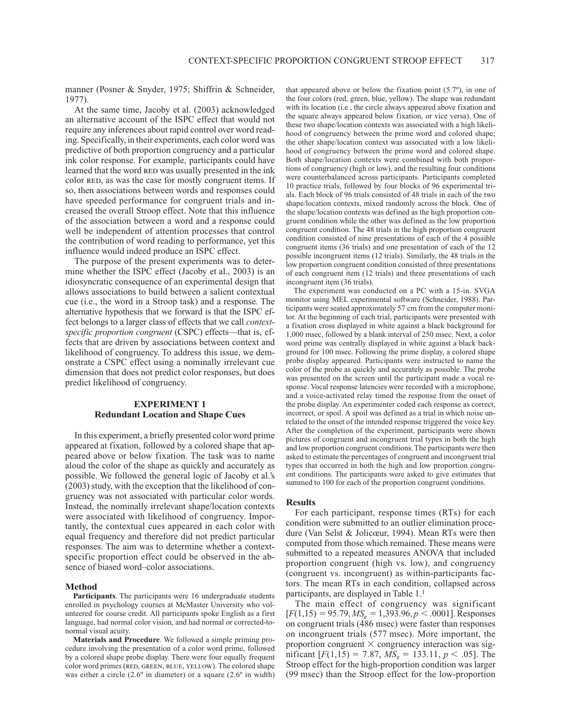manner (Posner & Snyder, 1975; Shiffrin & Schneider, 1977).

At the same time, Jacoby et al. (2003) acknowledged an alternative account of the ISPC effect that would not require any inferences about rapid control over word reading. Specifically, in their experiments, each color word was predictive of both proportion congruency and a particular ink color response. For example, participants could have learned that the word RED was usually presented in the ink color RED, as was the case for mostly congruent items. If so, then associations between words and responses could have speeded performance for congruent trials and increased the overall Stroop effect. Note that this influence of the association between a word and a response could well be independent of attention processes that control the contribution of word reading to performance, yet this influence would indeed produce an ISPC effect.

The purpose of the present experiments was to determine whether the ISPC effect (Jacoby et al., 2003) is an idiosyncratic consequence of an experimental design that allows associations to build between a salient contextual cue (i.e., the word in a Stroop task) and a response. The alternative hypothesis that we forward is that the ISPC effect belongs to a larger class of effects that we call *context*specific proportion congruent (CSPC) effects—that is, effects that are driven by associations between context and likelihood of congruency. To address this issue, we demonstrate a CSPC effect using a nominally irrelevant cue dimension that does not predict color responses, but does predict likelihood of congruency.

# **EXPERIMENT 1 Redundant Location and Shape Cues**

In this experiment, a briefly presented color word prime appeared at fixation, followed by a colored shape that appeared above or below fixation. The task was to name aloud the color of the shape as quickly and accurately as possible. We followed the general logic of Jacoby et al.'s (2003) study, with the exception that the likelihood of congruency was not associated with particular color words. Instead, the nominally irrelevant shape/location contexts were associated with likelihood of congruency. Importantly, the contextual cues appeared in each color with equal frequency and therefore did not predict particular responses. The aim was to determine whether a contextspecific proportion effect could be observed in the absence of biased word-color associations.

#### **Method**

Participants. The participants were 16 undergraduate students enrolled in psychology courses at McMaster University who volunteered for course credit. All participants spoke English as a first language, had normal color vision, and had normal or corrected-tonormal visual acuity.

Materials and Procedure. We followed a simple priming procedure involving the presentation of a color word prime, followed by a colored shape probe display. There were four equally frequent color word primes (RED, GREEN, BLUE, YELLOW). The colored shape was either a circle  $(2.6^{\circ}$  in diameter) or a square  $(2.6^{\circ}$  in width) that appeared above or below the fixation point  $(5.7^{\circ})$ , in one of the four colors (red, green, blue, yellow). The shape was redundant with its location (i.e., the circle always appeared above fixation and the square always appeared below fixation, or vice versa). One of these two shape/location contexts was associated with a high likelihood of congruency between the prime word and colored shape; the other shape/location context was associated with a low likelihood of congruency between the prime word and colored shape. Both shape/location contexts were combined with both proportions of congruency (high or low), and the resulting four conditions were counterbalanced across participants. Participants completed 10 practice trials, followed by four blocks of 96 experimental trials. Each block of 96 trials consisted of 48 trials in each of the two shape/location contexts, mixed randomly across the block. One of the shape/location contexts was defined as the high proportion congruent condition while the other was defined as the low proportion congruent condition. The 48 trials in the high proportion congruent condition consisted of nine presentations of each of the 4 possible congruent items (36 trials) and one presentation of each of the 12 possible incongruent items (12 trials). Similarly, the 48 trials in the low proportion congruent condition consisted of three presentations of each congruent item (12 trials) and three presentations of each incongruent item (36 trials).

The experiment was conducted on a PC with a 15-in. SVGA monitor using MEL experimental software (Schneider, 1988). Participants were seated approximately 57 cm from the computer monitor. At the beginning of each trial, participants were presented with a fixation cross displayed in white against a black background for 1,000 msec, followed by a blank interval of 250 msec. Next, a color word prime was centrally displayed in white against a black background for 100 msec. Following the prime display, a colored shape probe display appeared. Participants were instructed to name the color of the probe as quickly and accurately as possible. The probe was presented on the screen until the participant made a vocal response. Vocal response latencies were recorded with a microphone, and a voice-activated relay timed the response from the onset of the probe display. An experimenter coded each response as correct, incorrect, or spoil. A spoil was defined as a trial in which noise unrelated to the onset of the intended response triggered the voice key. After the completion of the experiment, participants were shown pictures of congruent and incongruent trial types in both the high and low proportion congruent conditions. The participants were then asked to estimate the percentages of congruent and incongruent trial types that occurred in both the high and low proportion congruent conditions. The participants were asked to give estimates that summed to 100 for each of the proportion congruent conditions.

### **Results**

For each participant, response times (RTs) for each condition were submitted to an outlier elimination procedure (Van Selst & Jolicœur, 1994). Mean RTs were then computed from those which remained. These means were submitted to a repeated measures ANOVA that included proportion congruent (high vs. low), and congruency (congruent vs. incongruent) as within-participants factors. The mean RTs in each condition, collapsed across participants, are displayed in Table 1.<sup>1</sup>

The main effect of congruency was significant  $[F(1,15) = 95.79, MS_e = 1,393.96, p < .0001]$ . Responses on congruent trials (486 msec) were faster than responses on incongruent trials (577 msec). More important, the proportion congruent  $\times$  congruency interaction was significant  $[F(1,15) = 7.87, MS_e = 133.11, p < .05]$ . The Stroop effect for the high-proportion condition was larger (99 msec) than the Stroop effect for the low-proportion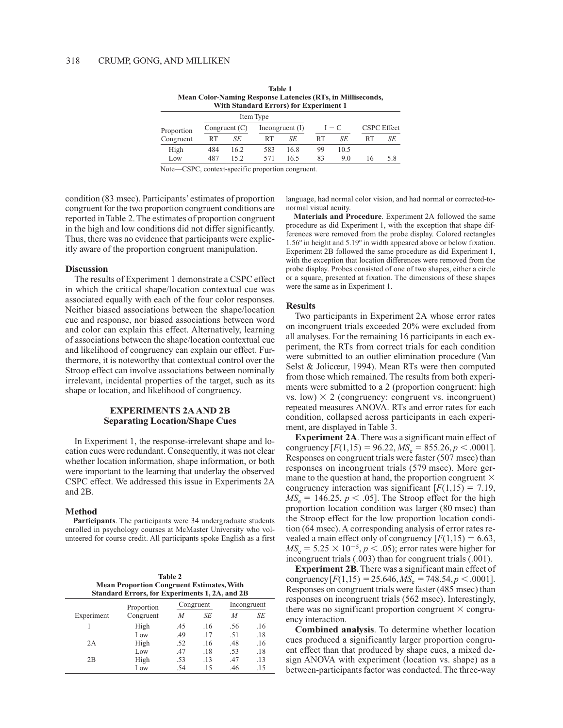|            |          |                 | Item Type |                   |    |         |                    |     |  |  |  |  |
|------------|----------|-----------------|-----------|-------------------|----|---------|--------------------|-----|--|--|--|--|
| Proportion |          | Congruent $(C)$ |           | Incongruent $(I)$ |    | $I - C$ | <b>CSPC</b> Effect |     |  |  |  |  |
| Congruent  | SE<br>RT |                 | SE<br>RT  |                   | RT | SE      | RT                 | SE  |  |  |  |  |
| High       | 484      | 16.2            | 583       | 16.8              | 99 | 10.5    |                    |     |  |  |  |  |
| Low        | 487      | 152             | 571       | 165               | 83 | 9.0     | 16                 | 5.8 |  |  |  |  |

**Table 1** Mean Color-Naming Response Latencies (RTs, in Milliseconds, **With Standard Errors) for Experiment 1** 

Note—CSPC, context-specific proportion congruent.

condition (83 msec). Participants' estimates of proportion congruent for the two proportion congruent conditions are reported in Table 2. The estimates of proportion congruent in the high and low conditions did not differ significantly. Thus, there was no evidence that participants were explicitly aware of the proportion congruent manipulation.

#### **Discussion**

The results of Experiment 1 demonstrate a CSPC effect in which the critical shape/location contextual cue was associated equally with each of the four color responses. Neither biased associations between the shape/location cue and response, nor biased associations between word and color can explain this effect. Alternatively, learning of associations between the shape/location contextual cue and likelihood of congruency can explain our effect. Furthermore, it is noteworthy that contextual control over the Stroop effect can involve associations between nominally irrelevant, incidental properties of the target, such as its shape or location, and likelihood of congruency.

# **EXPERIMENTS 2A AND 2B Separating Location/Shape Cues**

In Experiment 1, the response-irrelevant shape and location cues were redundant. Consequently, it was not clear whether location information, shape information, or both were important to the learning that underlay the observed CSPC effect. We addressed this issue in Experiments 2A and 2B.

#### **Method**

Participants. The participants were 34 undergraduate students enrolled in psychology courses at McMaster University who volunteered for course credit. All participants spoke English as a first

**Table 2 Mean Proportion Congruent Estimates, With Standard Errors, for Experiments 1, 2A, and 2B** 

|            | Proportion |     | Congruent | Incongruent |     |  |
|------------|------------|-----|-----------|-------------|-----|--|
| Experiment | Congruent  | M   | SE        | M           | SE  |  |
|            | High       | .45 | .16       | .56         | .16 |  |
|            | Low        | .49 | .17       | .51         | .18 |  |
| 2A         | High       | .52 | .16       | .48         | .16 |  |
|            | Low        | .47 | .18       | .53         | .18 |  |
| 2B         | High       | .53 | .13       | .47         | .13 |  |
|            | Low        | .54 | .15       | .46         | .15 |  |

language, had normal color vision, and had normal or corrected-tonormal visual acuity.

Materials and Procedure. Experiment 2A followed the same procedure as did Experiment 1, with the exception that shape differences were removed from the probe display. Colored rectangles 1.56° in height and 5.19° in width appeared above or below fixation. Experiment 2B followed the same procedure as did Experiment 1, with the exception that location differences were removed from the probe display. Probes consisted of one of two shapes, either a circle or a square, presented at fixation. The dimensions of these shapes were the same as in Experiment 1.

#### **Results**

Two participants in Experiment 2A whose error rates on incongruent trials exceeded 20% were excluded from all analyses. For the remaining 16 participants in each experiment, the RTs from correct trials for each condition were submitted to an outlier elimination procedure (Van Selst & Jolicœur, 1994). Mean RTs were then computed from those which remained. The results from both experiments were submitted to a 2 (proportion congruent: high vs. low)  $\times$  2 (congruency: congruent vs. incongruent) repeated measures ANOVA. RTs and error rates for each condition, collapsed across participants in each experiment, are displayed in Table 3.

**Experiment 2A.** There was a significant main effect of congruency  $[F(1,15) = 96.22, MS_e = 855.26, p < .0001]$ . Responses on congruent trials were faster (507 msec) than responses on incongruent trials (579 msec). More germane to the question at hand, the proportion congruent  $\times$ congruency interaction was significant  $[F(1,15) = 7.19]$ ,  $MS_e = 146.25, p < .05$ . The Stroop effect for the high proportion location condition was larger (80 msec) than the Stroop effect for the low proportion location condition (64 msec). A corresponding analysis of error rates revealed a main effect only of congruency  $[F(1,15) = 6.63]$ ,  $MS_e = 5.25 \times 10^{-5}$ ,  $p < .05$ ); error rates were higher for incongruent trials (.003) than for congruent trials (.001).

**Experiment 2B.** There was a significant main effect of congruency  $[F(1,15) = 25.646, MS_e = 748.54, p < .0001]$ . Responses on congruent trials were faster (485 msec) than responses on incongruent trials (562 msec). Interestingly, there was no significant proportion congruent  $\times$  congruency interaction.

**Combined analysis.** To determine whether location cues produced a significantly larger proportion congruent effect than that produced by shape cues, a mixed design ANOVA with experiment (location vs. shape) as a between-participants factor was conducted. The three-way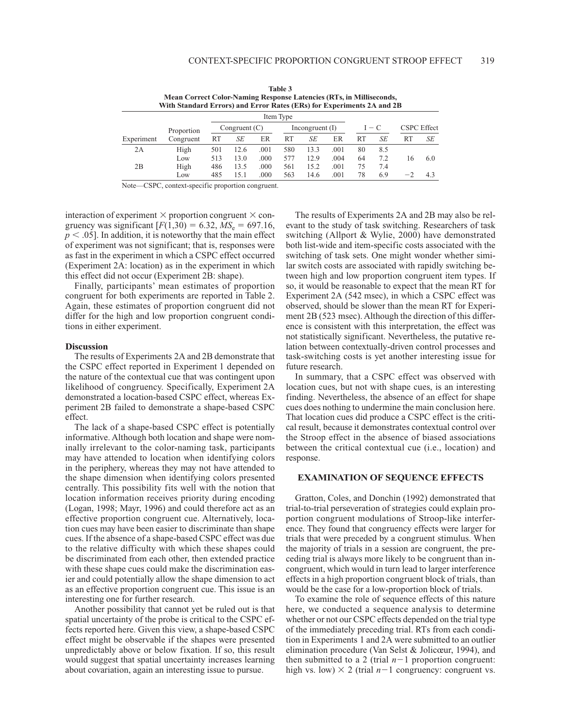|            | Mean Correct Color-Naming Response Latencies (RTs, in Milliseconds,<br>With Standard Errors) and Error Rates (ERs) for Experiments 2A and 2B |                 |      |      |                   |      |      |         |     |                    |     |
|------------|----------------------------------------------------------------------------------------------------------------------------------------------|-----------------|------|------|-------------------|------|------|---------|-----|--------------------|-----|
|            |                                                                                                                                              |                 |      |      | Item Type         |      |      |         |     |                    |     |
|            | Proportion                                                                                                                                   | Congruent $(C)$ |      |      | Incongruent $(I)$ |      |      | $I - C$ |     | <b>CSPC</b> Effect |     |
| Experiment | Congruent                                                                                                                                    | RT              | SE   | ER   | RT                | SE   | ER   | RT      | SE  | RT                 | SE  |
| 2A         | High                                                                                                                                         | 501             | 12.6 | .001 | 580               | 13.3 | .001 | 80      | 8.5 |                    |     |
|            | Low                                                                                                                                          | 513             | 13.0 | .000 | 577               | 12.9 | .004 | 64      | 7.2 | 16                 | 6.0 |
| 2B         | High                                                                                                                                         | 486             | 13.5 | .000 | 561               | 15.2 | .001 | 75      | 7.4 |                    |     |
|            | Low                                                                                                                                          | 485             | 15.1 | .000 | 563               | 14.6 | .001 | 78      | 6.9 | - 2                | 4.3 |

Table 3

Note-CSPC, context-specific proportion congruent.

interaction of experiment  $\times$  proportion congruent  $\times$  congruency was significant  $[F(1,30) = 6.32, MS_e = 697.16,$  $p < .05$ ]. In addition, it is noteworthy that the main effect of experiment was not significant; that is, responses were as fast in the experiment in which a CSPC effect occurred (Experiment 2A: location) as in the experiment in which this effect did not occur (Experiment 2B: shape).

Finally, participants' mean estimates of proportion congruent for both experiments are reported in Table 2. Again, these estimates of proportion congruent did not differ for the high and low proportion congruent conditions in either experiment.

#### **Discussion**

The results of Experiments 2A and 2B demonstrate that the CSPC effect reported in Experiment 1 depended on the nature of the contextual cue that was contingent upon likelihood of congruency. Specifically, Experiment 2A demonstrated a location-based CSPC effect, whereas Experiment 2B failed to demonstrate a shape-based CSPC effect.

The lack of a shape-based CSPC effect is potentially informative. Although both location and shape were nominally irrelevant to the color-naming task, participants may have attended to location when identifying colors in the periphery, whereas they may not have attended to the shape dimension when identifying colors presented centrally. This possibility fits well with the notion that location information receives priority during encoding (Logan, 1998; Mayr, 1996) and could therefore act as an effective proportion congruent cue. Alternatively, location cues may have been easier to discriminate than shape cues. If the absence of a shape-based CSPC effect was due to the relative difficulty with which these shapes could be discriminated from each other, then extended practice with these shape cues could make the discrimination easier and could potentially allow the shape dimension to act as an effective proportion congruent cue. This issue is an interesting one for further research.

Another possibility that cannot yet be ruled out is that spatial uncertainty of the probe is critical to the CSPC effects reported here. Given this view, a shape-based CSPC effect might be observable if the shapes were presented unpredictably above or below fixation. If so, this result would suggest that spatial uncertainty increases learning about covariation, again an interesting issue to pursue.

The results of Experiments 2A and 2B may also be relevant to the study of task switching. Researchers of task switching (Allport & Wylie, 2000) have demonstrated both list-wide and item-specific costs associated with the switching of task sets. One might wonder whether similar switch costs are associated with rapidly switching between high and low proportion congruent item types. If so, it would be reasonable to expect that the mean RT for Experiment 2A (542 msec), in which a CSPC effect was observed, should be slower than the mean RT for Experiment 2B (523 msec). Although the direction of this difference is consistent with this interpretation, the effect was not statistically significant. Nevertheless, the putative relation between contextually-driven control processes and task-switching costs is yet another interesting issue for future research.

In summary, that a CSPC effect was observed with location cues, but not with shape cues, is an interesting finding. Nevertheless, the absence of an effect for shape cues does nothing to undermine the main conclusion here. That location cues did produce a CSPC effect is the critical result, because it demonstrates contextual control over the Stroop effect in the absence of biased associations between the critical contextual cue (i.e., location) and response.

#### **EXAMINATION OF SEQUENCE EFFECTS**

Gratton, Coles, and Donchin (1992) demonstrated that trial-to-trial perseveration of strategies could explain proportion congruent modulations of Stroop-like interference. They found that congruency effects were larger for trials that were preceded by a congruent stimulus. When the majority of trials in a session are congruent, the preceding trial is always more likely to be congruent than incongruent, which would in turn lead to larger interference effects in a high proportion congruent block of trials, than would be the case for a low-proportion block of trials.

To examine the role of sequence effects of this nature here, we conducted a sequence analysis to determine whether or not our CSPC effects depended on the trial type of the immediately preceding trial. RTs from each condition in Experiments 1 and 2A were submitted to an outlier elimination procedure (Van Selst & Jolicœur, 1994), and then submitted to a 2 (trial  $n-1$  proportion congruent: high vs. low)  $\times$  2 (trial  $n-1$  congruency: congruent vs.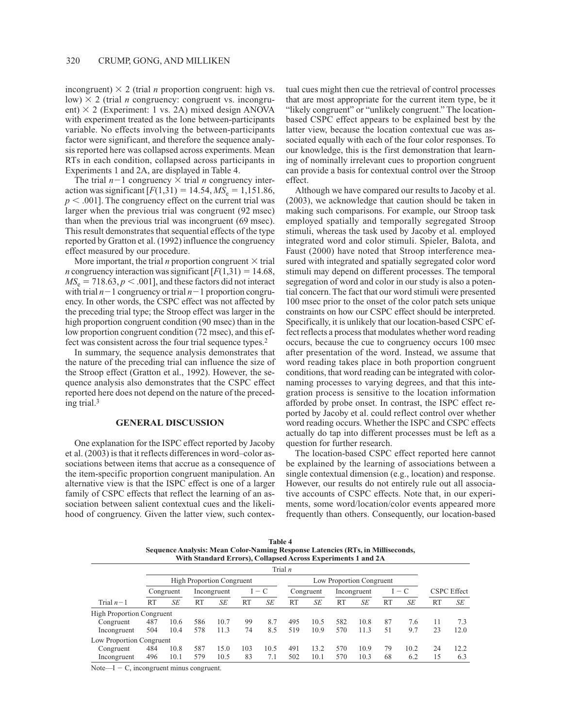incongruent)  $\times$  2 (trial *n* proportion congruent: high vs. low)  $\times$  2 (trial *n* congruency: congruent vs. incongruent)  $\times$  2 (Experiment: 1 vs. 2A) mixed design ANOVA with experiment treated as the lone between-participants variable. No effects involving the between-participants factor were significant, and therefore the sequence analysis reported here was collapsed across experiments. Mean RTs in each condition, collapsed across participants in Experiments 1 and 2A, are displayed in Table 4.

The trial  $n-1$  congruency  $\times$  trial *n* congruency interaction was significant  $[F(1,31) = 14.54, MS_e = 1,151.86,$  $p < .001$ ]. The congruency effect on the current trial was larger when the previous trial was congruent (92 msec) than when the previous trial was incongruent (69 msec). This result demonstrates that sequential effects of the type reported by Gratton et al. (1992) influence the congruency effect measured by our procedure.

More important, the trial *n* proportion congruent  $\times$  trial *n* congruency interaction was significant  $[F(1,31) = 14.68]$ ,  $MS_e = 718.63, p < .001$ , and these factors did not interact with trial  $n-1$  congruency or trial  $n-1$  proportion congruency. In other words, the CSPC effect was not affected by the preceding trial type; the Stroop effect was larger in the high proportion congruent condition (90 msec) than in the low proportion congruent condition (72 msec), and this effect was consistent across the four trial sequence types.<sup>2</sup>

In summary, the sequence analysis demonstrates that the nature of the preceding trial can influence the size of the Stroop effect (Gratton et al., 1992). However, the sequence analysis also demonstrates that the CSPC effect reported here does not depend on the nature of the preceding trial. $3$ 

## **GENERAL DISCUSSION**

One explanation for the ISPC effect reported by Jacoby et al. (2003) is that it reflects differences in word-color associations between items that accrue as a consequence of the item-specific proportion congruent manipulation. An alternative view is that the ISPC effect is one of a larger family of CSPC effects that reflect the learning of an association between salient contextual cues and the likelihood of congruency. Given the latter view, such contex-

tual cues might then cue the retrieval of control processes that are most appropriate for the current item type, be it "likely congruent" or "unlikely congruent." The locationbased CSPC effect appears to be explained best by the latter view, because the location contextual cue was associated equally with each of the four color responses. To our knowledge, this is the first demonstration that learning of nominally irrelevant cues to proportion congruent can provide a basis for contextual control over the Stroop effect.

Although we have compared our results to Jacoby et al. (2003), we acknowledge that caution should be taken in making such comparisons. For example, our Stroop task employed spatially and temporally segregated Stroop stimuli, whereas the task used by Jacoby et al. employed integrated word and color stimuli. Spieler, Balota, and Faust (2000) have noted that Stroop interference measured with integrated and spatially segregated color word stimuli may depend on different processes. The temporal segregation of word and color in our study is also a potential concern. The fact that our word stimuli were presented 100 msec prior to the onset of the color patch sets unique constraints on how our CSPC effect should be interpreted. Specifically, it is unlikely that our location-based CSPC effect reflects a process that modulates whether word reading occurs, because the cue to congruency occurs 100 msec after presentation of the word. Instead, we assume that word reading takes place in both proportion congruent conditions, that word reading can be integrated with colornaming processes to varying degrees, and that this integration process is sensitive to the location information afforded by probe onset. In contrast, the ISPC effect reported by Jacoby et al. could reflect control over whether word reading occurs. Whether the ISPC and CSPC effects actually do tap into different processes must be left as a question for further research.

The location-based CSPC effect reported here cannot be explained by the learning of associations between a single contextual dimension (e.g., location) and response. However, our results do not entirely rule out all associative accounts of CSPC effects. Note that, in our experiments, some word/location/color events appeared more frequently than others. Consequently, our location-based

**Table 4** Sequence Analysis: Mean Color-Naming Response Latencies (RTs, in Milliseconds, With Standard Errors), Collapsed Across Experiments 1 and 2A

|                                  |           | Trial n                          |           |             |           |         |           |                          |           |             |           |                                      |           |                    |  |
|----------------------------------|-----------|----------------------------------|-----------|-------------|-----------|---------|-----------|--------------------------|-----------|-------------|-----------|--------------------------------------|-----------|--------------------|--|
|                                  |           | <b>High Proportion Congruent</b> |           |             |           |         |           | Low Proportion Congruent |           |             |           |                                      |           |                    |  |
|                                  |           | Congruent                        |           | Incongruent |           | $I - C$ |           | Congruent                |           | Incongruent |           | C<br>$\hspace{0.1mm}-\hspace{0.1mm}$ |           | <b>CSPC</b> Effect |  |
| Trial $n-1$                      | <b>RT</b> | SE                               | <b>RT</b> | SE          | <b>RT</b> | SE      | <b>RT</b> | SE                       | <b>RT</b> | SE          | <b>RT</b> | SE                                   | <b>RT</b> | SE                 |  |
| <b>High Proportion Congruent</b> |           |                                  |           |             |           |         |           |                          |           |             |           |                                      |           |                    |  |
| Congruent                        | 487       | 10.6                             | 586       | 10.7        | 99        | 8.7     | 495       | 10.5                     | 582       | 10.8        | 87        | 7.6                                  | 11        | 7.3                |  |
| Incongruent                      | 504       | 10.4                             | 578       | 11.3        | 74        | 8.5     | 519       | 10.9                     | 570       | 11.3        | 51        | 9.7                                  | 23        | 12.0               |  |
| Low Proportion Congruent         |           |                                  |           |             |           |         |           |                          |           |             |           |                                      |           |                    |  |
| Congruent                        | 484       | 10.8                             | 587       | 15.0        | 103       | 10.5    | 491       | 13.2                     | 570       | 10.9        | 79        | 10.2                                 | 24        | 12.2               |  |
| Incongruent                      | 496       | 10.1                             | 579       | 10.5        | 83        | 7.1     | 502       | 10.1                     | 570       | 10.3        | 68        | 6.2                                  | 15        | 6.3                |  |

Note— $I - C$ , incongruent minus congruent.